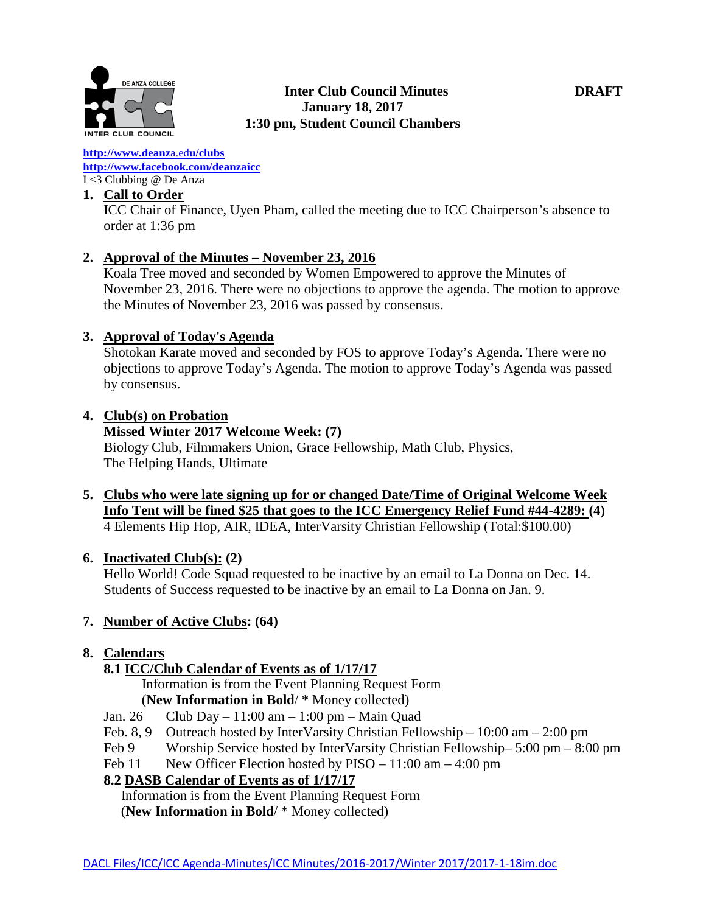

#### **[http://www.deanz](http://www.deanza.edu/clubs)**[a.ed](http://www.deanza.edu/clubs)**[u/clubs](http://www.deanza.edu/clubs) [http://www.facebook.com/deanzaicc](http://www.facebook.com/home.php#!/group.php?gid=59034552686)** I <3 Clubbing @ De Anza

# **1. Call to Order**

ICC Chair of Finance, Uyen Pham, called the meeting due to ICC Chairperson's absence to order at 1:36 pm

# **2. Approval of the Minutes – November 23, 2016**

Koala Tree moved and seconded by Women Empowered to approve the Minutes of November 23, 2016. There were no objections to approve the agenda. The motion to approve the Minutes of November 23, 2016 was passed by consensus.

## **3. Approval of Today's Agenda**

Shotokan Karate moved and seconded by FOS to approve Today's Agenda. There were no objections to approve Today's Agenda. The motion to approve Today's Agenda was passed by consensus.

## **4. Club(s) on Probation**

## **Missed Winter 2017 Welcome Week: (7)**

Biology Club, Filmmakers Union, Grace Fellowship, Math Club, Physics, The Helping Hands, Ultimate

**5. Clubs who were late signing up for or changed Date/Time of Original Welcome Week Info Tent will be fined \$25 that goes to the ICC Emergency Relief Fund #44-4289: (4)** 4 Elements Hip Hop, AIR, IDEA, InterVarsity Christian Fellowship (Total:\$100.00)

# **6. Inactivated Club(s): (2)**

Hello World! Code Squad requested to be inactive by an email to La Donna on Dec. 14. Students of Success requested to be inactive by an email to La Donna on Jan. 9.

# **7. Number of Active Clubs: (64)**

# **8. Calendars**

# **8.1 ICC/Club Calendar of Events as of 1/17/17**

Information is from the Event Planning Request Form

# (**New Information in Bold**/ \* Money collected)

- Jan. 26 Club Day 11:00 am 1:00 pm Main Quad
- Feb. 8, 9 Outreach hosted by InterVarsity Christian Fellowship 10:00 am 2:00 pm
- Feb 9 Worship Service hosted by InterVarsity Christian Fellowship– 5:00 pm 8:00 pm
- Feb 11 New Officer Election hosted by PISO 11:00 am 4:00 pm

# **8.2 DASB Calendar of Events as of 1/17/17**

Information is from the Event Planning Request Form (**New Information in Bold**/ \* Money collected)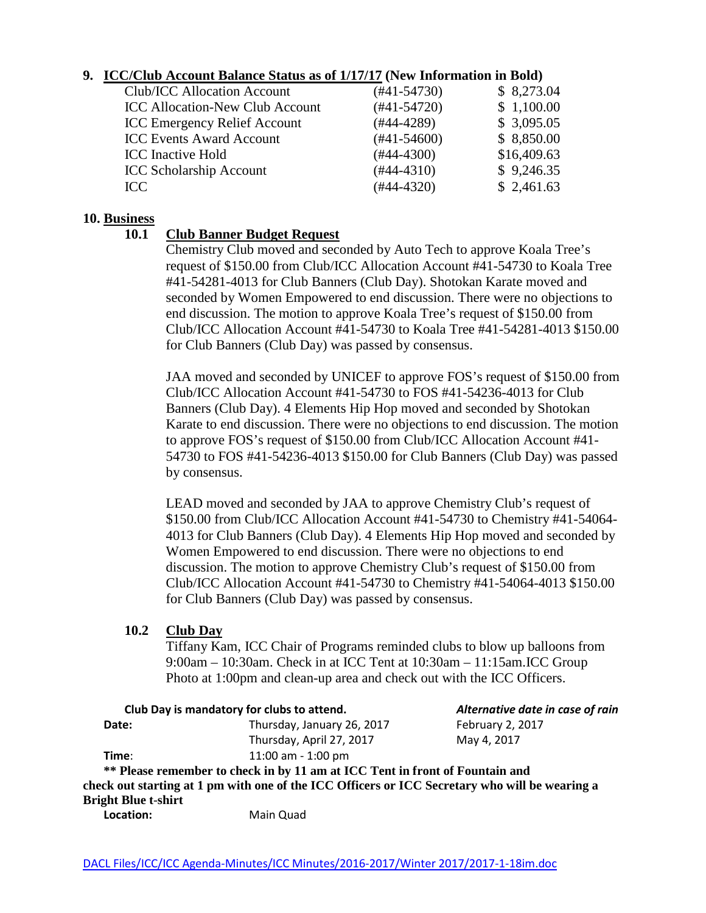# **9. ICC/Club Account Balance Status as of 1/17/17 (New Information in Bold)**

| Club/ICC Allocation Account            | $(#41-54730)$ | \$8,273.04  |
|----------------------------------------|---------------|-------------|
| <b>ICC Allocation-New Club Account</b> | $(#41-54720)$ | \$1,100.00  |
| <b>ICC Emergency Relief Account</b>    | $(#44-4289)$  | \$3,095.05  |
| <b>ICC Events Award Account</b>        | $(#41-54600)$ | \$8,850.00  |
| <b>ICC</b> Inactive Hold               | $(#44-4300)$  | \$16,409.63 |
| <b>ICC Scholarship Account</b>         | $(#44-4310)$  | \$9,246.35  |
| ICC                                    | $(#44-4320)$  | \$2,461.63  |
|                                        |               |             |

#### **10. Business**

### **10.1 Club Banner Budget Request**

Chemistry Club moved and seconded by Auto Tech to approve Koala Tree's request of \$150.00 from Club/ICC Allocation Account #41-54730 to Koala Tree #41-54281-4013 for Club Banners (Club Day). Shotokan Karate moved and seconded by Women Empowered to end discussion. There were no objections to end discussion. The motion to approve Koala Tree's request of \$150.00 from Club/ICC Allocation Account #41-54730 to Koala Tree #41-54281-4013 \$150.00 for Club Banners (Club Day) was passed by consensus.

JAA moved and seconded by UNICEF to approve FOS's request of \$150.00 from Club/ICC Allocation Account #41-54730 to FOS #41-54236-4013 for Club Banners (Club Day). 4 Elements Hip Hop moved and seconded by Shotokan Karate to end discussion. There were no objections to end discussion. The motion to approve FOS's request of \$150.00 from Club/ICC Allocation Account #41- 54730 to FOS #41-54236-4013 \$150.00 for Club Banners (Club Day) was passed by consensus.

LEAD moved and seconded by JAA to approve Chemistry Club's request of \$150.00 from Club/ICC Allocation Account #41-54730 to Chemistry #41-54064- 4013 for Club Banners (Club Day). 4 Elements Hip Hop moved and seconded by Women Empowered to end discussion. There were no objections to end discussion. The motion to approve Chemistry Club's request of \$150.00 from Club/ICC Allocation Account #41-54730 to Chemistry #41-54064-4013 \$150.00 for Club Banners (Club Day) was passed by consensus.

### **10.2 Club Day**

Tiffany Kam, ICC Chair of Programs reminded clubs to blow up balloons from 9:00am – 10:30am. Check in at ICC Tent at 10:30am – 11:15am.ICC Group Photo at 1:00pm and clean-up area and check out with the ICC Officers.

|                            | Club Day is mandatory for clubs to attend.                                                     | Alternative date in case of rain |
|----------------------------|------------------------------------------------------------------------------------------------|----------------------------------|
| Date:                      | Thursday, January 26, 2017                                                                     | February 2, 2017                 |
|                            | Thursday, April 27, 2017                                                                       | May 4, 2017                      |
| Time:                      | 11:00 am - 1:00 pm                                                                             |                                  |
|                            | ** Please remember to check in by 11 am at ICC Tent in front of Fountain and                   |                                  |
|                            | check out starting at 1 pm with one of the ICC Officers or ICC Secretary who will be wearing a |                                  |
| <b>Bright Blue t-shirt</b> |                                                                                                |                                  |
| Location:                  | Main Ouad                                                                                      |                                  |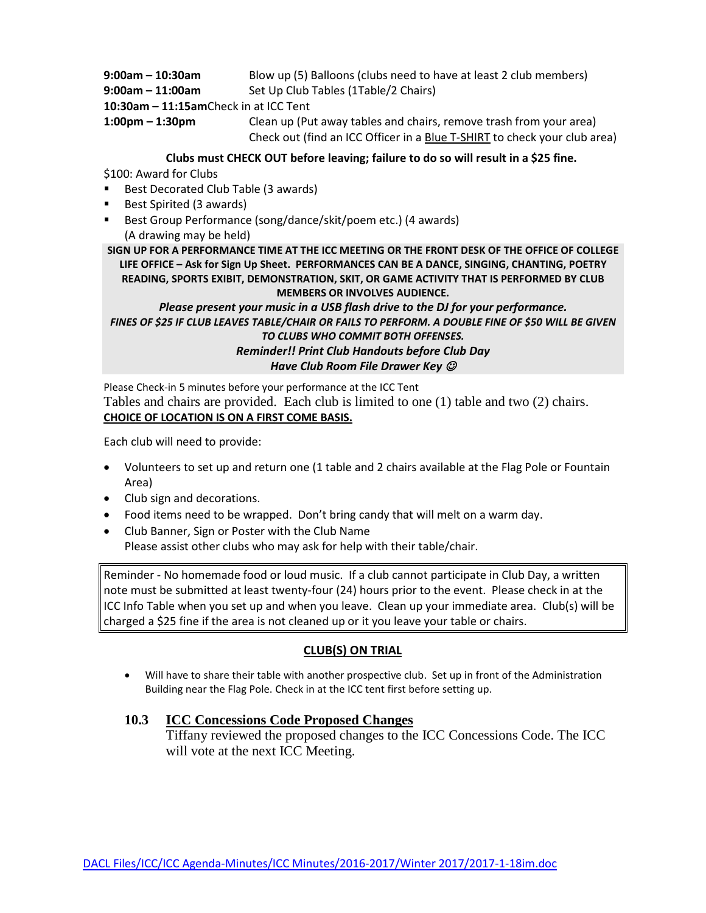| $9:00$ am – 10:30am                   | Blow up (5) Balloons (clubs need to have at least 2 club members)                                                                               |
|---------------------------------------|-------------------------------------------------------------------------------------------------------------------------------------------------|
| $9:00$ am – 11:00am                   | Set Up Club Tables (1Table/2 Chairs)                                                                                                            |
| 10:30am - 11:15amCheck in at ICC Tent |                                                                                                                                                 |
| $1:00 \text{pm} - 1:30 \text{pm}$     | Clean up (Put away tables and chairs, remove trash from your area)<br>Check out (find an ICC Officer in a Blue T-SHIRT to check your club area) |

#### **Clubs must CHECK OUT before leaving; failure to do so will result in a \$25 fine.**

\$100: Award for Clubs

- Best Decorated Club Table (3 awards)
- Best Spirited (3 awards)
- Best Group Performance (song/dance/skit/poem etc.) (4 awards) (A drawing may be held)

**SIGN UP FOR A PERFORMANCE TIME AT THE ICC MEETING OR THE FRONT DESK OF THE OFFICE OF COLLEGE LIFE OFFICE – Ask for Sign Up Sheet. PERFORMANCES CAN BE A DANCE, SINGING, CHANTING, POETRY READING, SPORTS EXIBIT, DEMONSTRATION, SKIT, OR GAME ACTIVITY THAT IS PERFORMED BY CLUB MEMBERS OR INVOLVES AUDIENCE.**

*Please present your music in a USB flash drive to the DJ for your performance. FINES OF \$25 IF CLUB LEAVES TABLE/CHAIR OR FAILS TO PERFORM. A DOUBLE FINE OF \$50 WILL BE GIVEN TO CLUBS WHO COMMIT BOTH OFFENSES. Reminder!! Print Club Handouts before Club Day Have Club Room File Drawer Key* 

Please Check-in 5 minutes before your performance at the ICC Tent Tables and chairs are provided. Each club is limited to one (1) table and two (2) chairs. **CHOICE OF LOCATION IS ON A FIRST COME BASIS.**

Each club will need to provide:

- Volunteers to set up and return one (1 table and 2 chairs available at the Flag Pole or Fountain Area)
- Club sign and decorations.
- Food items need to be wrapped. Don't bring candy that will melt on a warm day.
- Club Banner, Sign or Poster with the Club Name Please assist other clubs who may ask for help with their table/chair.

Reminder - No homemade food or loud music. If a club cannot participate in Club Day, a written note must be submitted at least twenty-four (24) hours prior to the event. Please check in at the ICC Info Table when you set up and when you leave. Clean up your immediate area. Club(s) will be charged a \$25 fine if the area is not cleaned up or it you leave your table or chairs.

### **CLUB(S) ON TRIAL**

• Will have to share their table with another prospective club. Set up in front of the Administration Building near the Flag Pole. Check in at the ICC tent first before setting up.

### **10.3 ICC Concessions Code Proposed Changes**

Tiffany reviewed the proposed changes to the ICC Concessions Code. The ICC will vote at the next ICC Meeting.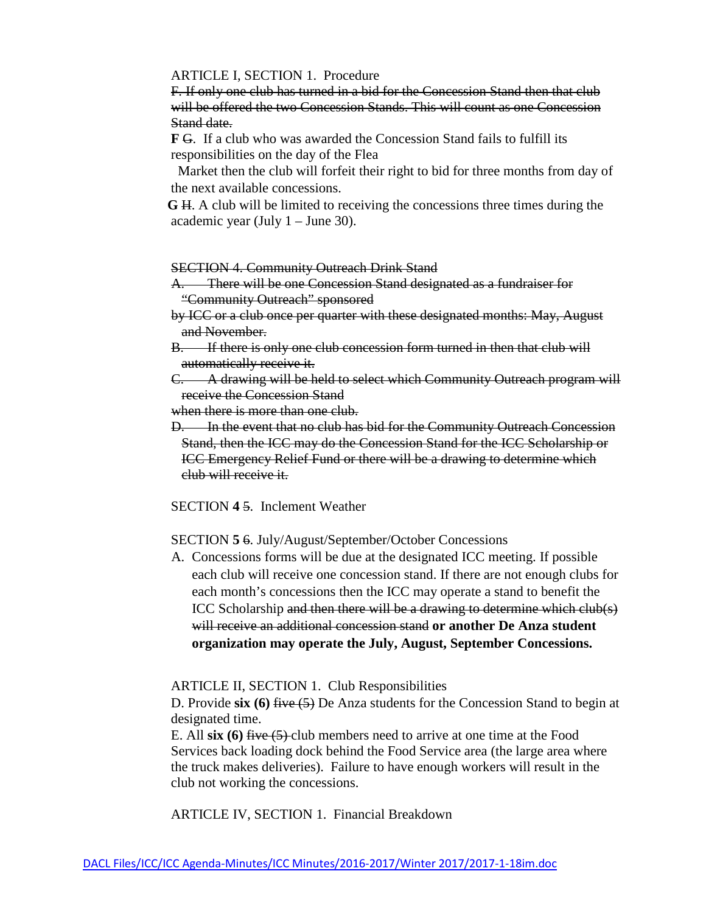#### ARTICLE I, SECTION 1. Procedure

F. If only one club has turned in a bid for the Concession Stand then that club will be offered the two Concession Stands. This will count as one Concession Stand date.

 **F** G. If a club who was awarded the Concession Stand fails to fulfill its responsibilities on the day of the Flea

 Market then the club will forfeit their right to bid for three months from day of the next available concessions.

 **G** H. A club will be limited to receiving the concessions three times during the academic year (July 1 – June 30).

#### SECTION 4. Community Outreach Drink Stand

- A. There will be one Concession Stand designated as a fundraiser for "Community Outreach" sponsored
- by ICC or a club once per quarter with these designated months: May, August and November.
- B. If there is only one club concession form turned in then that club will automatically receive it.
- C. A drawing will be held to select which Community Outreach program will receive the Concession Stand

when there is more than one club.

D. In the event that no club has bid for the Community Outreach Concession Stand, then the ICC may do the Concession Stand for the ICC Scholarship or ICC Emergency Relief Fund or there will be a drawing to determine which club will receive it.

SECTION **4** 5. Inclement Weather

SECTION **5** 6. July/August/September/October Concessions

A. Concessions forms will be due at the designated ICC meeting. If possible each club will receive one concession stand. If there are not enough clubs for each month's concessions then the ICC may operate a stand to benefit the ICC Scholarship and then there will be a drawing to determine which club(s) will receive an additional concession stand **or another De Anza student organization may operate the July, August, September Concessions.**

ARTICLE II, SECTION 1. Club Responsibilities

D. Provide **six (6)** five (5) De Anza students for the Concession Stand to begin at designated time.

E. All **six (6)** five (5) club members need to arrive at one time at the Food Services back loading dock behind the Food Service area (the large area where the truck makes deliveries). Failure to have enough workers will result in the club not working the concessions.

ARTICLE IV, SECTION 1. Financial Breakdown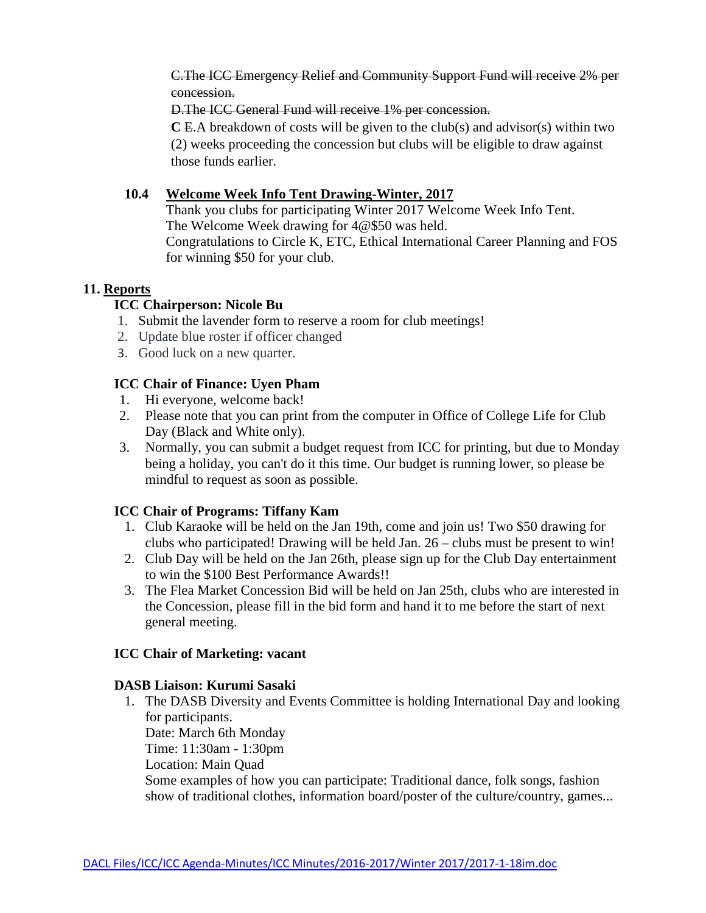C.The ICC Emergency Relief and Community Support Fund will receive 2% per concession.

D.The ICC General Fund will receive 1% per concession.

 **C** E.A breakdown of costs will be given to the club(s) and advisor(s) within two (2) weeks proceeding the concession but clubs will be eligible to draw against those funds earlier.

# **10.4 Welcome Week Info Tent Drawing-Winter, 2017**

Thank you clubs for participating Winter 2017 Welcome Week Info Tent. The Welcome Week drawing for 4@\$50 was held. Congratulations to Circle K, ETC, Ethical International Career Planning and FOS for winning \$50 for your club.

# **11. Reports**

# **ICC Chairperson: Nicole Bu**

- 1. Submit the lavender form to reserve a room for club meetings!
- 2. Update blue roster if officer changed
- 3. Good luck on a new quarter.

# **ICC Chair of Finance: Uyen Pham**

- 1. Hi everyone, welcome back!
- 2. Please note that you can print from the computer in Office of College Life for Club Day (Black and White only).
- 3. Normally, you can submit a budget request from ICC for printing, but due to Monday being a holiday, you can't do it this time. Our budget is running lower, so please be mindful to request as soon as possible.

# **ICC Chair of Programs: Tiffany Kam**

- 1. Club Karaoke will be held on the Jan 19th, come and join us! Two \$50 drawing for clubs who participated! Drawing will be held Jan. 26 – clubs must be present to win!
- 2. Club Day will be held on the Jan 26th, please sign up for the Club Day entertainment to win the \$100 Best Performance Awards!!
- 3. The Flea Market Concession Bid will be held on Jan 25th, clubs who are interested in the Concession, please fill in the bid form and hand it to me before the start of next general meeting.

# **ICC Chair of Marketing: vacant**

# **DASB Liaison: Kurumi Sasaki**

1. The DASB Diversity and Events Committee is holding International Day and looking for participants. Date: March 6th Monday Time: 11:30am - 1:30pm Location: Main Quad Some examples of how you can participate: Traditional dance, folk songs, fashion show of traditional clothes, information board/poster of the culture/country, games...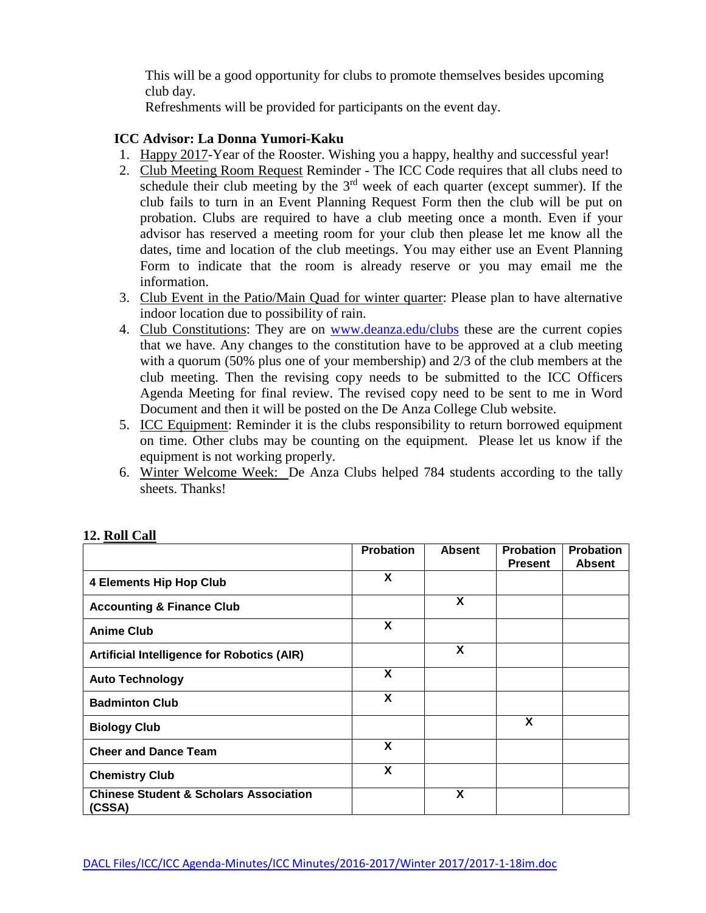This will be a good opportunity for clubs to promote themselves besides upcoming club day.

Refreshments will be provided for participants on the event day.

# **ICC Advisor: La Donna Yumori-Kaku**

- 1. Happy 2017-Year of the Rooster. Wishing you a happy, healthy and successful year!
- 2. Club Meeting Room Request Reminder The ICC Code requires that all clubs need to schedule their club meeting by the  $3<sup>rd</sup>$  week of each quarter (except summer). If the club fails to turn in an Event Planning Request Form then the club will be put on probation. Clubs are required to have a club meeting once a month. Even if your advisor has reserved a meeting room for your club then please let me know all the dates, time and location of the club meetings. You may either use an Event Planning Form to indicate that the room is already reserve or you may email me the information.
- 3. Club Event in the Patio/Main Quad for winter quarter: Please plan to have alternative indoor location due to possibility of rain.
- 4. Club Constitutions: They are on [www.deanza.edu/clubs](http://www.deanza.edu/clubs) these are the current copies that we have. Any changes to the constitution have to be approved at a club meeting with a quorum (50% plus one of your membership) and 2/3 of the club members at the club meeting. Then the revising copy needs to be submitted to the ICC Officers Agenda Meeting for final review. The revised copy need to be sent to me in Word Document and then it will be posted on the De Anza College Club website.
- 5. ICC Equipment: Reminder it is the clubs responsibility to return borrowed equipment on time. Other clubs may be counting on the equipment. Please let us know if the equipment is not working properly.
- 6. Winter Welcome Week: De Anza Clubs helped 784 students according to the tally sheets. Thanks!

|                                                             | <b>Probation</b> | <b>Absent</b> | <b>Probation</b><br><b>Present</b> | <b>Probation</b><br><b>Absent</b> |
|-------------------------------------------------------------|------------------|---------------|------------------------------------|-----------------------------------|
| <b>4 Elements Hip Hop Club</b>                              | X                |               |                                    |                                   |
| <b>Accounting &amp; Finance Club</b>                        |                  | X             |                                    |                                   |
| <b>Anime Club</b>                                           | X                |               |                                    |                                   |
| <b>Artificial Intelligence for Robotics (AIR)</b>           |                  | X             |                                    |                                   |
| <b>Auto Technology</b>                                      | X                |               |                                    |                                   |
| <b>Badminton Club</b>                                       | X                |               |                                    |                                   |
| <b>Biology Club</b>                                         |                  |               | X                                  |                                   |
| <b>Cheer and Dance Team</b>                                 | X                |               |                                    |                                   |
| <b>Chemistry Club</b>                                       | X                |               |                                    |                                   |
| <b>Chinese Student &amp; Scholars Association</b><br>(CSSA) |                  | X             |                                    |                                   |

# **12. Roll Call**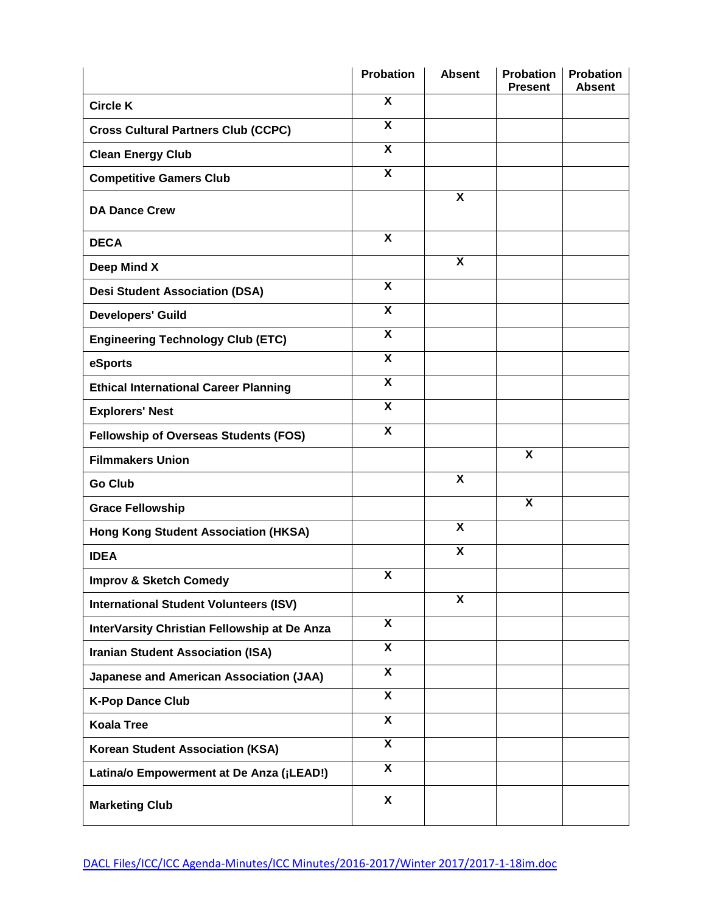|                                                | <b>Probation</b>          | <b>Absent</b>             | <b>Probation</b><br><b>Present</b> | <b>Probation</b><br><b>Absent</b> |
|------------------------------------------------|---------------------------|---------------------------|------------------------------------|-----------------------------------|
| <b>Circle K</b>                                | X                         |                           |                                    |                                   |
| <b>Cross Cultural Partners Club (CCPC)</b>     | $\overline{\mathbf{x}}$   |                           |                                    |                                   |
| <b>Clean Energy Club</b>                       | $\overline{\mathbf{x}}$   |                           |                                    |                                   |
| <b>Competitive Gamers Club</b>                 | $\overline{\mathbf{x}}$   |                           |                                    |                                   |
| <b>DA Dance Crew</b>                           |                           | X                         |                                    |                                   |
| <b>DECA</b>                                    | X                         |                           |                                    |                                   |
| Deep Mind X                                    |                           | $\overline{\mathbf{x}}$   |                                    |                                   |
| <b>Desi Student Association (DSA)</b>          | $\overline{\mathbf{x}}$   |                           |                                    |                                   |
| <b>Developers' Guild</b>                       | $\overline{\mathbf{x}}$   |                           |                                    |                                   |
| <b>Engineering Technology Club (ETC)</b>       | $\overline{\mathbf{x}}$   |                           |                                    |                                   |
| eSports                                        | $\boldsymbol{\mathsf{X}}$ |                           |                                    |                                   |
| <b>Ethical International Career Planning</b>   | $\overline{\mathbf{x}}$   |                           |                                    |                                   |
| <b>Explorers' Nest</b>                         | $\boldsymbol{\mathsf{X}}$ |                           |                                    |                                   |
| <b>Fellowship of Overseas Students (FOS)</b>   | $\overline{\mathbf{X}}$   |                           |                                    |                                   |
| <b>Filmmakers Union</b>                        |                           |                           | $\boldsymbol{\mathsf{X}}$          |                                   |
| <b>Go Club</b>                                 |                           | $\overline{\mathbf{X}}$   |                                    |                                   |
| <b>Grace Fellowship</b>                        |                           |                           | $\boldsymbol{\mathsf{X}}$          |                                   |
| <b>Hong Kong Student Association (HKSA)</b>    |                           | $\overline{\mathbf{X}}$   |                                    |                                   |
| <b>IDEA</b>                                    |                           | X                         |                                    |                                   |
| <b>Improv &amp; Sketch Comedy</b>              | $\boldsymbol{\mathsf{X}}$ |                           |                                    |                                   |
| <b>International Student Volunteers (ISV)</b>  |                           | $\boldsymbol{\mathsf{X}}$ |                                    |                                   |
| InterVarsity Christian Fellowship at De Anza   | $\overline{\mathbf{X}}$   |                           |                                    |                                   |
| <b>Iranian Student Association (ISA)</b>       | $\overline{\mathbf{X}}$   |                           |                                    |                                   |
| <b>Japanese and American Association (JAA)</b> | $\overline{\mathbf{x}}$   |                           |                                    |                                   |
| <b>K-Pop Dance Club</b>                        | $\overline{\mathbf{x}}$   |                           |                                    |                                   |
| <b>Koala Tree</b>                              | $\overline{\mathbf{x}}$   |                           |                                    |                                   |
| Korean Student Association (KSA)               | $\overline{\mathbf{x}}$   |                           |                                    |                                   |
| Latina/o Empowerment at De Anza (¡LEAD!)       | $\overline{\mathbf{x}}$   |                           |                                    |                                   |
| <b>Marketing Club</b>                          | X                         |                           |                                    |                                   |